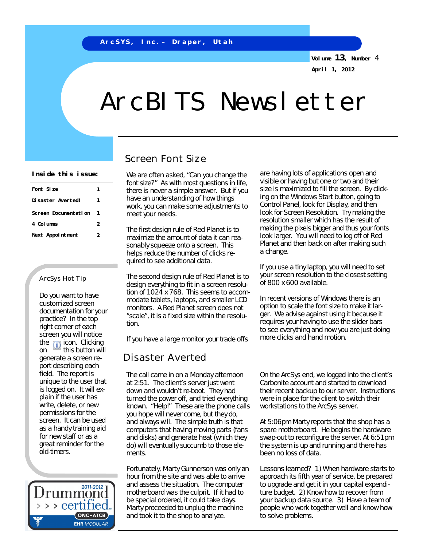**Volume 13, Number** 4 **April 1, 2012**

# ArcBITS Newsletter

| Font Size            |   |
|----------------------|---|
| Disaster Avertedl    |   |
| Screen Documentation |   |
| 4 Columns            | 2 |
| Next Appointment     | 2 |

#### ArcSys Hot Tip

Do you want to have customized screen documentation for your practice? In the top right corner of each screen you will notice the **indicate** Clicking on  $\mathbf{t}$  this button will generate a screen report describing each field. The report is unique to the user that is logged on. It will explain if the user has write, delete, or new permissions for the screen. It can be used as a handy training aid for new staff or as a great reminder for the old-timers.



## Screen Font Size

font size?" As with most questions in life, there is never a simple answer. But if you have an understanding of how things work, you can make some adjustments to meet your needs.

The first design rule of Red Planet is to maximize the amount of data it can reasonably squeeze onto a screen. This helps *reduce the number of clicks* required to see additional data.

The second design rule of Red Planet is to design everything to fit in a screen resolution of 1024 x 768. This seems to accommodate tablets, laptops, and smaller LCD monitors. A Red Planet screen does not "scale", it is a fixed size within the resolution.

If you have a large monitor your trade offs

# Disaster Averted

The call came in on a Monday afternoon at 2:51. The client's server just went down and wouldn't re-boot. They had turned the power off, and tried everything known. "Help!" These are the phone calls you hope will never come, but they do, and always will. The simple truth is that computers that having moving parts (fans and disks) and generate heat (which they do) will eventually succumb to those elements.

Fortunately, Marty Gunnerson was only an hour from the site and was able to arrive and assess the situation. The computer motherboard was the culprit. If it had to be special ordered, it could take days. Marty proceeded to unplug the machine and took it to the shop to analyze.

Inside this issue: We are often asked, "Can you change the are having lots of applications open and visible or having but one or two and their size is maximized to fill the screen. By clicking on the Windows Start button, going to Control Panel, look for Display, and then look for Screen Resolution. Try making the resolution smaller which has the result of making the pixels bigger and thus your fonts look larger. You will need to log off of Red Planet and then back on after making such a change.

> If you use a tiny laptop, you will need to set your screen resolution to the closest setting of 800 x 600 available.

In recent versions of Windows there is an option to scale the font size to make it larger. We advise against using it because it requires your having to use the slider bars to see everything and now you are just doing more clicks and hand motion.

On the ArcSys end, we logged into the client's Carbonite account and started to download their recent backup to our server. Instructions were in place for the client to switch their workstations to the ArcSys server.

At 5:06pm Marty reports that the shop has a spare motherboard. He begins the hardware swap-out to reconfigure the server. At 6:51pm the system is up and running and there has been no loss of data.

Lessons learned? 1) When hardware starts to approach its fifth year of service, be prepared to upgrade and get it in your capital expenditure budget. 2) Know how to recover from your backup data source. 3) Have a team of people who work together well and know how to solve problems.